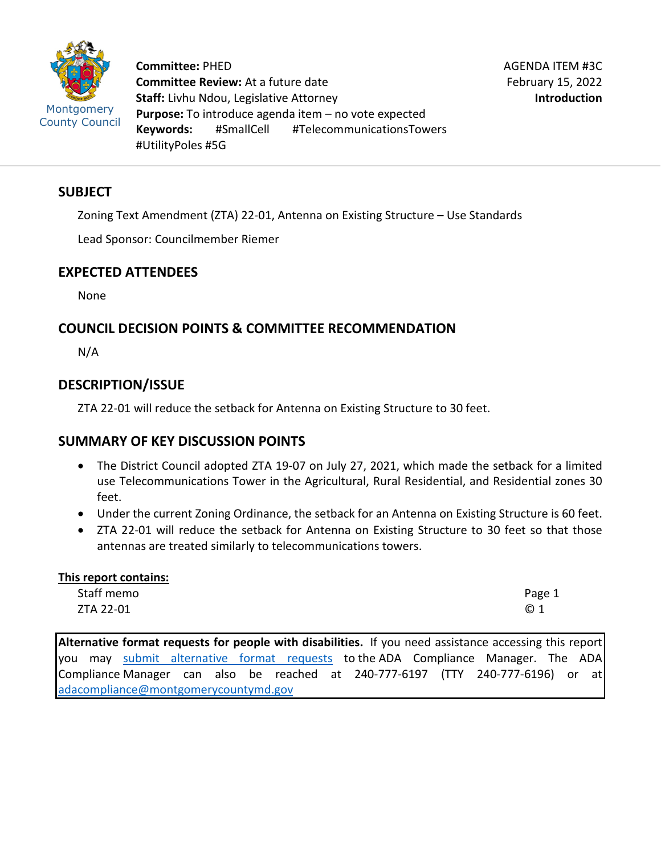

**Committee:** PHED **Committee Review:** At a future date **Staff:** Livhu Ndou, Legislative Attorney **Purpose:** To introduce agenda item – no vote expected **Keywords:** #SmallCell #TelecommunicationsTowers #UtilityPoles #5G

#### **SUBJECT**

Zoning Text Amendment (ZTA) 22-01, Antenna on Existing Structure – Use Standards

Lead Sponsor: Councilmember Riemer

## **EXPECTED ATTENDEES**

None

# **COUNCIL DECISION POINTS & COMMITTEE RECOMMENDATION**

N/A

## **DESCRIPTION/ISSUE**

ZTA 22-01 will reduce the setback for Antenna on Existing Structure to 30 feet.

## **SUMMARY OF KEY DISCUSSION POINTS**

- The District Council adopted ZTA 19-07 on July 27, 2021, which made the setback for a limited use Telecommunications Tower in the Agricultural, Rural Residential, and Residential zones 30 feet.
- Under the current Zoning Ordinance, the setback for an Antenna on Existing Structure is 60 feet.
- ZTA 22-01 will reduce the setback for Antenna on Existing Structure to 30 feet so that those antennas are treated similarly to telecommunications towers.

| This report contains: |        |  |  |  |  |
|-----------------------|--------|--|--|--|--|
| Staff memo            | Page 1 |  |  |  |  |
| ZTA 22-01             | @1     |  |  |  |  |

**Alternative format requests for people with disabilities.** If you need assistance accessing this report you may [submit alternative format requests](https://gcc01.safelinks.protection.outlook.com/?url=http%3A%2F%2Fwww2.montgomerycountymd.gov%2Fmcgportalapps%2FAccessibilityForm.aspx&data=02%7C01%7Csandra.marin%40montgomerycountymd.gov%7C79d44e803a8846df027008d6ad4e4d1b%7C6e01b1f9b1e54073ac97778069a0ad64%7C0%7C0%7C636886950086244453&sdata=AT2lwLz22SWBJ8c92gXfspY8lQVeGCrUbqSPzpYheB0%3D&reserved=0) to the ADA Compliance Manager. The ADA Compliance Manager can also be reached at 240-777-6197 (TTY 240-777-6196) or at [adacompliance@montgomerycountymd.gov](mailto:adacompliance@montgomerycountymd.gov)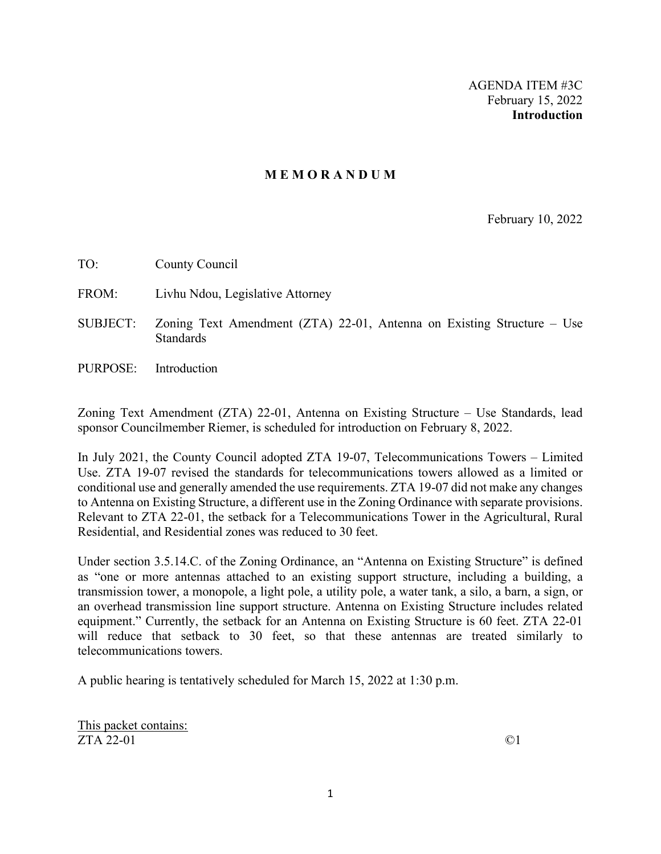#### **M E M O R A N D U M**

February 10, 2022

TO: County Council

- FROM: Livhu Ndou, Legislative Attorney
- SUBJECT: Zoning Text Amendment (ZTA) 22-01, Antenna on Existing Structure Use **Standards**
- PURPOSE: Introduction

Zoning Text Amendment (ZTA) 22-01, Antenna on Existing Structure – Use Standards, lead sponsor Councilmember Riemer, is scheduled for introduction on February 8, 2022.

In July 2021, the County Council adopted ZTA 19-07, Telecommunications Towers – Limited Use. ZTA 19-07 revised the standards for telecommunications towers allowed as a limited or conditional use and generally amended the use requirements. ZTA 19-07 did not make any changes to Antenna on Existing Structure, a different use in the Zoning Ordinance with separate provisions. Relevant to ZTA 22-01, the setback for a Telecommunications Tower in the Agricultural, Rural Residential, and Residential zones was reduced to 30 feet.

Under section 3.5.14.C. of the Zoning Ordinance, an "Antenna on Existing Structure" is defined as "one or more antennas attached to an existing support structure, including a building, a transmission tower, a monopole, a light pole, a utility pole, a water tank, a silo, a barn, a sign, or an overhead transmission line support structure. Antenna on Existing Structure includes related equipment." Currently, the setback for an Antenna on Existing Structure is 60 feet. ZTA 22-01 will reduce that setback to 30 feet, so that these antennas are treated similarly to telecommunications towers.

A public hearing is tentatively scheduled for March 15, 2022 at 1:30 p.m.

This packet contains:  $ZTA$  22-01  $\qquad \qquad \odot$ 1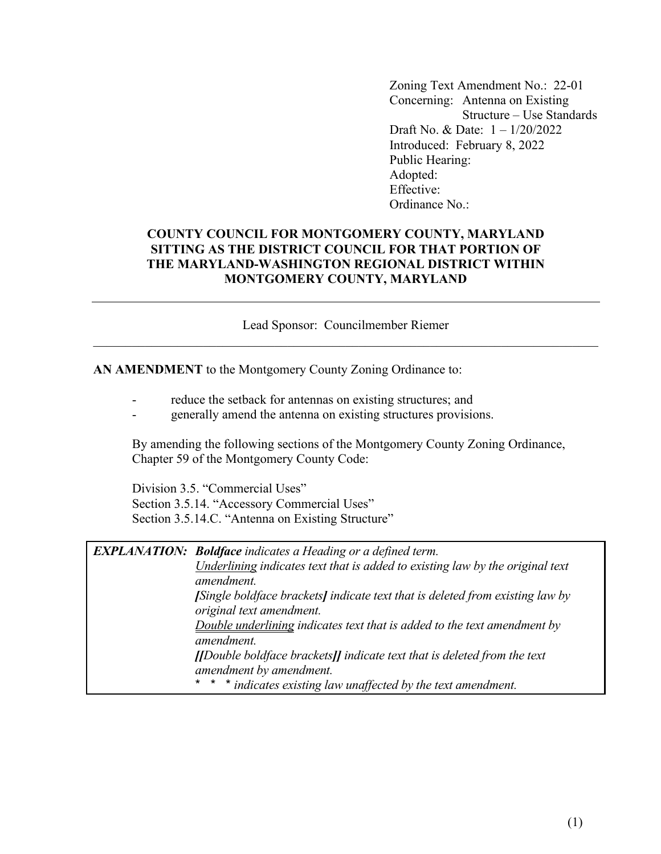Zoning Text Amendment No.: 22-01 Concerning: Antenna on Existing Structure – Use Standards Draft No. & Date: 1 – 1/20/2022 Introduced: February 8, 2022 Public Hearing: Adopted: Effective: Ordinance No.:

#### **COUNTY COUNCIL FOR MONTGOMERY COUNTY, MARYLAND SITTING AS THE DISTRICT COUNCIL FOR THAT PORTION OF THE MARYLAND-WASHINGTON REGIONAL DISTRICT WITHIN MONTGOMERY COUNTY, MARYLAND**

Lead Sponsor: Councilmember Riemer

**AN AMENDMENT** to the Montgomery County Zoning Ordinance to:

- reduce the setback for antennas on existing structures; and
- generally amend the antenna on existing structures provisions.

 By amending the following sections of the Montgomery County Zoning Ordinance, Chapter 59 of the Montgomery County Code:

 Division 3.5. "Commercial Uses" Section 3.5.14. "Accessory Commercial Uses" Section 3.5.14.C. "Antenna on Existing Structure"

| <b>EXPLANATION:</b> Boldface indicates a Heading or a defined term.                          |  |  |
|----------------------------------------------------------------------------------------------|--|--|
| Underlining indicates text that is added to existing law by the original text                |  |  |
| amendment.                                                                                   |  |  |
| [Single boldface brackets] indicate text that is deleted from existing law by                |  |  |
| original text amendment.                                                                     |  |  |
| Double underlining indicates text that is added to the text amendment by                     |  |  |
| amendment.                                                                                   |  |  |
| $\text{II}$ Double boldface brackets $\text{II}$ indicate text that is deleted from the text |  |  |
| amendment by amendment.                                                                      |  |  |
| * * * indicates existing law unaffected by the text amendment.                               |  |  |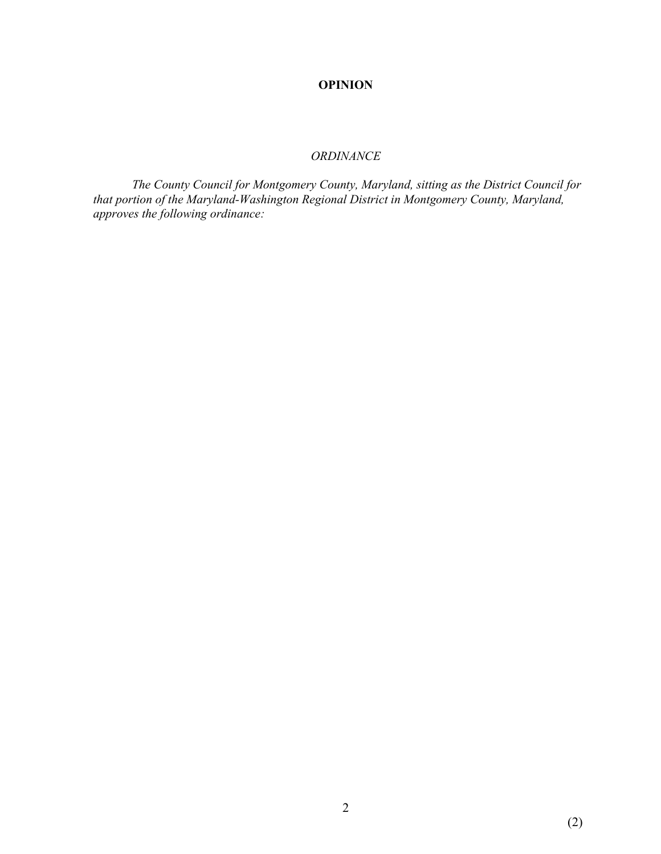#### **OPINION**

#### *ORDINANCE*

 *The County Council for Montgomery County, Maryland, sitting as the District Council for that portion of the Maryland-Washington Regional District in Montgomery County, Maryland, approves the following ordinance:*